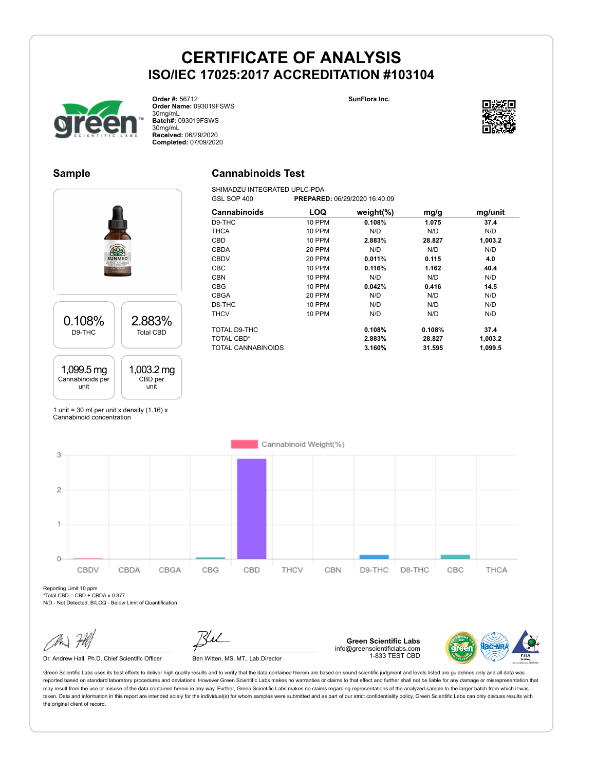**SunFlora Inc.**



**Order #:** 56712 **Order Name:** 093019FSWS 30mg/mL **Batch#:** 093019FSWS 30mg/mL **Received:** 06/29/2020 **Completed:** 07/09/2020

#### **Sample**

### **Cannabinoids Test**

SHIMADZU INTEGRATED UPLC-PDA<br>GSL SOP 400 PREPARE GSL SOP 400 **PREPARED:** 06/29/2020 16:40:09



| Cannabinoids       | <b>LOQ</b>    | weight $(\%)$ | mg/g   | mg/unit |
|--------------------|---------------|---------------|--------|---------|
| D9-THC             | <b>10 PPM</b> | 0.108%        | 1.075  | 37.4    |
| <b>THCA</b>        | <b>10 PPM</b> | N/D           | N/D    | N/D     |
| CBD                | <b>10 PPM</b> | 2.883%        | 28.827 | 1,003.2 |
| CBDA               | 20 PPM        | N/D           | N/D    | N/D     |
| <b>CBDV</b>        | 20 PPM        | 0.011%        | 0.115  | 4.0     |
| <b>CBC</b>         | <b>10 PPM</b> | 0.116%        | 1.162  | 40.4    |
| <b>CBN</b>         | 10 PPM        | N/D           | N/D    | N/D     |
| <b>CBG</b>         | 10 PPM        | 0.042%        | 0.416  | 14.5    |
| <b>CBGA</b>        | 20 PPM        | N/D           | N/D    | N/D     |
| D8-THC             | 10 PPM        | N/D           | N/D    | N/D     |
| <b>THCV</b>        | <b>10 PPM</b> | N/D           | N/D    | N/D     |
| TOTAL D9-THC       |               | 0.108%        | 0.108% | 37.4    |
| <b>TOTAL CBD*</b>  |               | 2.883%        | 28.827 | 1,003.2 |
| TOTAL CANNABINOIDS |               | 3.160%        | 31.595 | 1,099.5 |

1 unit = 30 ml per unit x density  $(1.16)$  x Cannabinoid concentration



Reporting Limit 10 ppm  $*$ Total CBD = CBD + CBDA x 0.877

N/D - Not Detected, B/LOQ - Below Limit of Quantification

Dr. Andrew Hall, Ph.D., Chief Scientific Officer Ben Witten, MS, MT., Lab Director

**Green Scientific Labs** info@greenscientificlabs.com 1-833 TEST CBD



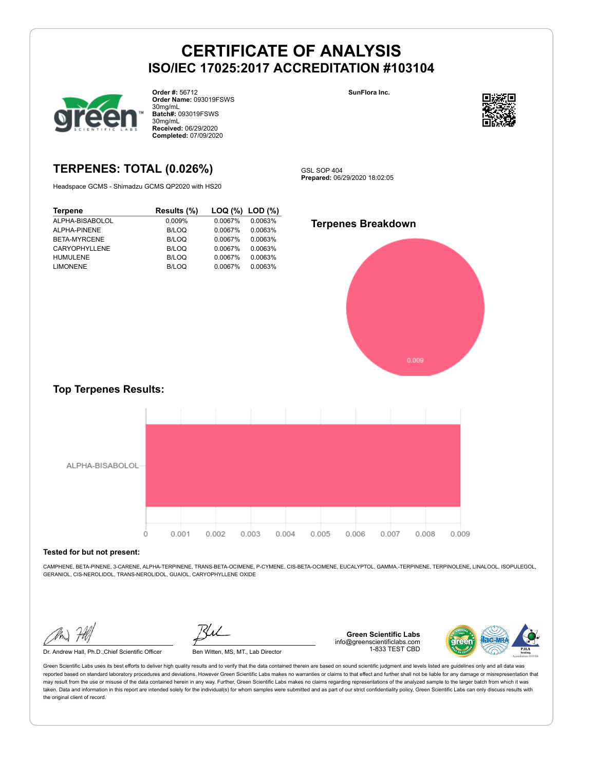

**Order #:** 56712 **Order Name:** 093019FSWS 30mg/mL **Batch#:** 093019FSWS 30mg/mL **Received:** 06/29/2020 **Completed:** 07/09/2020

## **TERPENES: TOTAL (0.026%)**

Headspace GCMS - Shimadzu GCMS QP2020 with HS20

| <b>Terpene</b>  | Results (%) |         | $\textsf{LOQ}$ (%) $\textsf{LOD}$ (%) |
|-----------------|-------------|---------|---------------------------------------|
| ALPHA-BISABOLOL | 0.009%      | 0.0067% | 0.0063%                               |
| ALPHA-PINENE    | B/LOQ       | 0.0067% | 0.0063%                               |
| BETA-MYRCENE    | B/LOQ       | 0.0067% | 0.0063%                               |
| CARYOPHYLLENE   | B/LOQ       | 0.0067% | 0.0063%                               |
| <b>HUMULENE</b> | B/LOQ       | 0.0067% | 0.0063%                               |
| <b>LIMONENE</b> | B/LOQ       | 0.0067% | 0.0063%                               |



**SunFlora Inc.**

**Prepared:** 06/29/2020 18:02:05



#### **Top Terpenes Results:**



#### **Tested for but not present:**

CAMPHENE, BETA-PINENE, 3-CARENE, ALPHA-TERPINENE, TRANS-BETA-OCIMENE, P-CYMENE, CIS-BETA-OCIMENE, EUCALYPTOL, GAMMA.-TERPINENE, TERPINOLENE, LINALOOL, ISOPULEGOL, GERANIOL, CIS-NEROLIDOL, TRANS-NEROLIDOL, GUAIOL, CARYOPHYLLENE OXIDE

Dr. Andrew Hall, Ph.D.,Chief Scientific Officer Ben Witten, MS, MT., Lab Director

**Green Scientific Labs** info@greenscientificlabs.com 1-833 TEST CBD

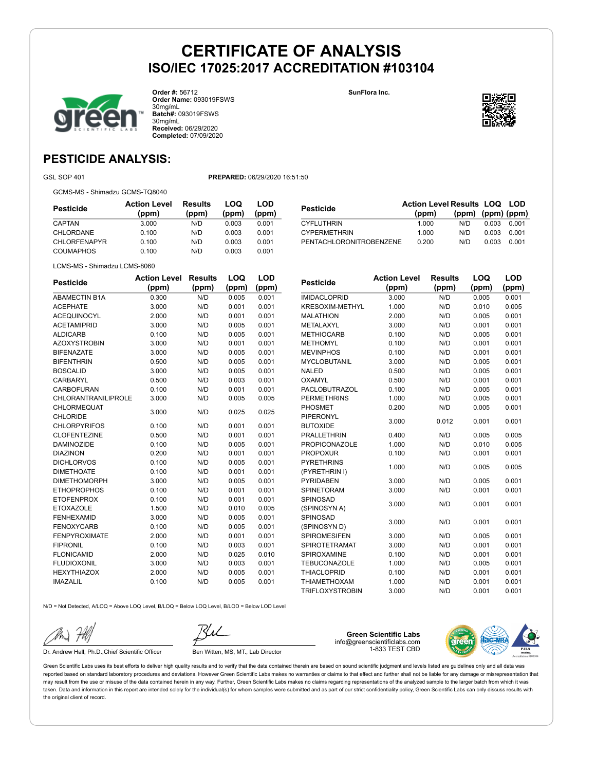**SunFlora Inc.**



**Order #:** 56712 **Order Name:** 093019FSWS 30mg/mL **Batch#:** 093019FSWS 30mg/mL **Received:** 06/29/2020 **Completed:** 07/09/2020

## **PESTICIDE ANALYSIS:**

GSL SOP 401 **PREPARED:** 06/29/2020 16:51:50

GCMS-MS - Shimadzu GCMS-TQ8040

| Pesticide           | <b>Action Level</b><br>(ppm) | Results<br>(ppm) | LOQ<br>(ppm) | LOD<br>(ppm) |
|---------------------|------------------------------|------------------|--------------|--------------|
| CAPTAN              | 3.000                        | N/D              | 0.003        | 0.001        |
| <b>CHLORDANE</b>    | 0.100                        | N/D              | 0.003        | 0.001        |
| <b>CHLORFENAPYR</b> | 0.100                        | N/D              | 0.003        | 0.001        |
| COUMAPHOS           | 0.100                        | N/D              | 0.003        | 0.001        |

| <b>Pesticide</b>        | <b>Action Level Results LOQ LOD</b><br>(ppm) | $(ppm)$ $(ppm)$ $(ppm)$ |       |       |
|-------------------------|----------------------------------------------|-------------------------|-------|-------|
| <b>CYFLUTHRIN</b>       | 1.000                                        | N/D.                    | 0.003 | 0.001 |
| <b>CYPERMETHRIN</b>     | 1.000                                        | N/D.                    | 0.003 | 0.001 |
| PENTACHLORONITROBENZENE | 0.200                                        | N/D                     | 0.003 | 0.001 |

LCMS-MS - Shimadzu LCMS-8060

| <b>Pesticide</b>           | <b>Action Level</b> | <b>Results</b> | LOQ   | <b>LOD</b> |
|----------------------------|---------------------|----------------|-------|------------|
|                            | (ppm)               | (ppm)          | (ppm) | (ppm)      |
| <b>ABAMECTIN B1A</b>       | 0.300               | N/D            | 0.005 | 0.001      |
| <b>ACEPHATE</b>            | 3.000               | N/D            | 0.001 | 0.001      |
| <b>ACEQUINOCYL</b>         | 2.000               | N/D            | 0.001 | 0.001      |
| <b>ACETAMIPRID</b>         | 3.000               | N/D            | 0.005 | 0.001      |
| <b>ALDICARB</b>            | 0.100               | N/D            | 0.005 | 0.001      |
| <b>AZOXYSTROBIN</b>        | 3.000               | N/D            | 0.001 | 0.001      |
| <b>BIFENAZATE</b>          | 3.000               | N/D            | 0.005 | 0.001      |
| <b>BIFENTHRIN</b>          | 0.500               | N/D            | 0.005 | 0.001      |
| <b>BOSCALID</b>            | 3.000               | N/D            | 0.005 | 0.001      |
| CARBARYL                   | 0.500               | N/D            | 0.003 | 0.001      |
| CARBOFURAN                 | 0.100               | N/D            | 0.001 | 0.001      |
| <b>CHLORANTRANILIPROLE</b> | 3.000               | N/D            | 0.005 | 0.005      |
| CHLORMEQUAT                | 3.000               | N/D            | 0.025 | 0.025      |
| <b>CHLORIDE</b>            |                     |                |       |            |
| <b>CHLORPYRIFOS</b>        | 0.100               | N/D            | 0.001 | 0.001      |
| <b>CLOFENTEZINE</b>        | 0.500               | N/D            | 0.001 | 0.001      |
| <b>DAMINOZIDE</b>          | 0.100               | N/D            | 0.005 | 0.001      |
| <b>DIAZINON</b>            | 0.200               | N/D            | 0.001 | 0.001      |
| <b>DICHLORVOS</b>          | 0.100               | N/D            | 0.005 | 0.001      |
| <b>DIMETHOATE</b>          | 0.100               | N/D            | 0.001 | 0.001      |
| <b>DIMETHOMORPH</b>        | 3.000               | N/D            | 0.005 | 0.001      |
| <b>ETHOPROPHOS</b>         | 0.100               | N/D            | 0.001 | 0.001      |
| <b>ETOFENPROX</b>          | 0.100               | N/D            | 0.001 | 0.001      |
| <b>ETOXAZOLE</b>           | 1.500               | N/D            | 0.010 | 0.005      |
| <b>FENHEXAMID</b>          | 3.000               | N/D            | 0.005 | 0.001      |
| <b>FENOXYCARB</b>          | 0.100               | N/D            | 0.005 | 0.001      |
| <b>FENPYROXIMATE</b>       | 2.000               | N/D            | 0.001 | 0.001      |
| <b>FIPRONIL</b>            | 0.100               | N/D            | 0.003 | 0.001      |
| <b>FLONICAMID</b>          | 2.000               | N/D            | 0.025 | 0.010      |
| <b>FLUDIOXONIL</b>         | 3.000               | N/D            | 0.003 | 0.001      |
| <b>HEXYTHIAZOX</b>         | 2.000               | N/D            | 0.005 | 0.001      |
| <b>IMAZALIL</b>            | 0.100               | N/D            | 0.005 | 0.001      |
|                            |                     |                |       |            |

| Pesticide              | <b>Action Level</b> | <b>Results</b> | LOQ   | LOD   |
|------------------------|---------------------|----------------|-------|-------|
|                        | (ppm)               | (ppm)          | (ppm) | (ppm) |
| <b>IMIDACLOPRID</b>    | 3.000               | N/D            | 0.005 | 0.001 |
| KRESOXIM-METHYL        | 1.000               | N/D            | 0.010 | 0.005 |
| <b>MALATHION</b>       | 2.000               | N/D            | 0.005 | 0.001 |
| METALAXYL              | 3.000               | N/D            | 0.001 | 0.001 |
| <b>METHIOCARB</b>      | 0.100               | N/D            | 0.005 | 0.001 |
| <b>METHOMYL</b>        | 0.100               | N/D            | 0.001 | 0.001 |
| <b>MEVINPHOS</b>       | 0.100               | N/D            | 0.001 | 0.001 |
| <b>MYCLOBUTANIL</b>    | 3.000               | N/D            | 0.005 | 0.001 |
| <b>NALED</b>           | 0.500               | N/D            | 0.005 | 0.001 |
| <b>OXAMYL</b>          | 0.500               | N/D            | 0.001 | 0.001 |
| <b>PACLOBUTRAZOL</b>   | 0.100               | N/D            | 0.005 | 0.001 |
| <b>PERMETHRINS</b>     | 1.000               | N/D            | 0.005 | 0.001 |
| PHOSMET                | 0.200               | N/D            | 0.005 | 0.001 |
| <b>PIPERONYL</b>       | 3.000               | 0.012          | 0.001 | 0.001 |
| <b>BUTOXIDE</b>        |                     |                |       |       |
| <b>PRALLETHRIN</b>     | 0.400               | N/D            | 0.005 | 0.005 |
| <b>PROPICONAZOLE</b>   | 1.000               | N/D            | 0.010 | 0.005 |
| <b>PROPOXUR</b>        | 0.100               | N/D            | 0.001 | 0.001 |
| <b>PYRETHRINS</b>      | 1.000               | N/D            | 0.005 | 0.005 |
| (PYRETHRIN I)          |                     |                |       |       |
| <b>PYRIDABEN</b>       | 3.000               | N/D            | 0.005 | 0.001 |
| <b>SPINETORAM</b>      | 3.000               | N/D            | 0.001 | 0.001 |
| SPINOSAD               | 3.000               | N/D            | 0.001 | 0.001 |
| (SPINOSYN A)           |                     |                |       |       |
| SPINOSAD               | 3.000               | N/D            | 0.001 | 0.001 |
| (SPINOSYN D)           |                     |                |       |       |
| <b>SPIROMESIFEN</b>    | 3.000               | N/D            | 0.005 | 0.001 |
| SPIROTETRAMAT          | 3.000               | N/D            | 0.001 | 0.001 |
| SPIROXAMINE            | 0.100               | N/D            | 0.001 | 0.001 |
| <b>TEBUCONAZOLE</b>    | 1.000               | N/D            | 0.005 | 0.001 |
| <b>THIACLOPRID</b>     | 0.100               | N/D            | 0.001 | 0.001 |
| <b>THIAMETHOXAM</b>    | 1.000               | N/D            | 0.001 | 0.001 |
| <b>TRIFLOXYSTROBIN</b> | 3.000               | N/D            | 0.001 | 0.001 |

N/D = Not Detected, A/LOQ = Above LOQ Level, B/LOQ = Below LOQ Level, B/LOD = Below LOD Level

Dr. Andrew Hall, Ph.D., Chief Scientific Officer Ben Witten, MS, MT., Lab Director

**Green Scientific Labs** info@greenscientificlabs.com 1-833 TEST CBD

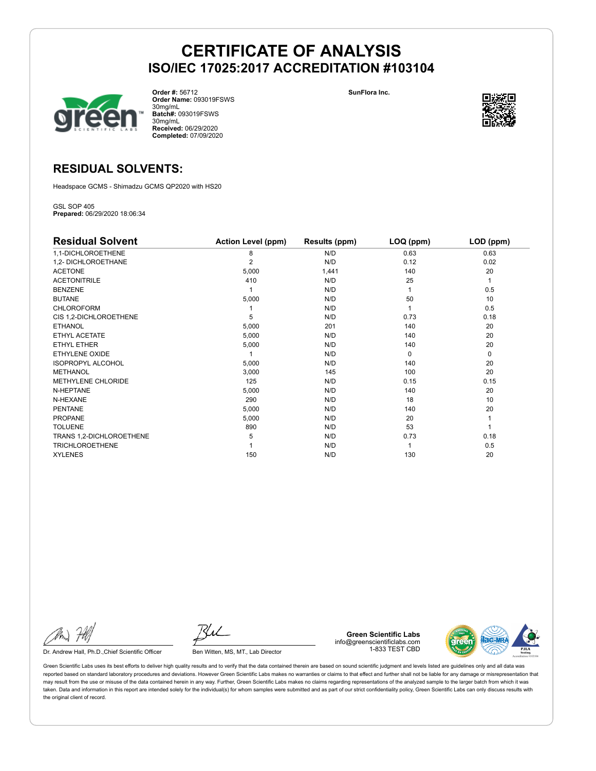

**Order #:** 56712 **Order Name:** 093019FSWS 30mg/mL **Batch#:** 093019FSWS 30mg/mL **Received:** 06/29/2020 **Completed:** 07/09/2020

**SunFlora Inc.**



## **RESIDUAL SOLVENTS:**

Headspace GCMS - Shimadzu GCMS QP2020 with HS20

GSL SOP 405 **Prepared:** 06/29/2020 18:06:34

| <b>Residual Solvent</b>   | <b>Action Level (ppm)</b> | Results (ppm) | LOQ (ppm) | LOD (ppm) |
|---------------------------|---------------------------|---------------|-----------|-----------|
| 1,1-DICHLOROETHENE        | 8                         | N/D           | 0.63      | 0.63      |
| 1,2- DICHLOROETHANE       | $\overline{2}$            | N/D           | 0.12      | 0.02      |
| <b>ACETONE</b>            | 5,000                     | 1,441         | 140       | 20        |
| <b>ACETONITRILE</b>       | 410                       | N/D           | 25        | 1         |
| <b>BENZENE</b>            |                           | N/D           |           | 0.5       |
| <b>BUTANE</b>             | 5,000                     | N/D           | 50        | 10        |
| <b>CHLOROFORM</b>         |                           | N/D           |           | 0.5       |
| CIS 1,2-DICHLOROETHENE    | 5                         | N/D           | 0.73      | 0.18      |
| <b>ETHANOL</b>            | 5,000                     | 201           | 140       | 20        |
| ETHYL ACETATE             | 5,000                     | N/D           | 140       | 20        |
| <b>ETHYL ETHER</b>        | 5,000                     | N/D           | 140       | 20        |
| ETHYLENE OXIDE            |                           | N/D           | $\Omega$  | 0         |
| <b>ISOPROPYL ALCOHOL</b>  | 5,000                     | N/D           | 140       | 20        |
| <b>METHANOL</b>           | 3,000                     | 145           | 100       | 20        |
| <b>METHYLENE CHLORIDE</b> | 125                       | N/D           | 0.15      | 0.15      |
| N-HEPTANE                 | 5,000                     | N/D           | 140       | 20        |
| N-HEXANE                  | 290                       | N/D           | 18        | 10        |
| <b>PENTANE</b>            | 5,000                     | N/D           | 140       | 20        |
| <b>PROPANE</b>            | 5,000                     | N/D           | 20        |           |
| <b>TOLUENE</b>            | 890                       | N/D           | 53        |           |
| TRANS 1,2-DICHLOROETHENE  | 5                         | N/D           | 0.73      | 0.18      |
| <b>TRICHLOROETHENE</b>    |                           | N/D           |           | 0.5       |
| <b>XYLENES</b>            | 150                       | N/D           | 130       | 20        |

Dr. Andrew Hall, Ph.D., Chief Scientific Officer Ben Witten, MS, MT., Lab Director

**Green Scientific Labs** info@greenscientificlabs.com 1-833 TEST CBD

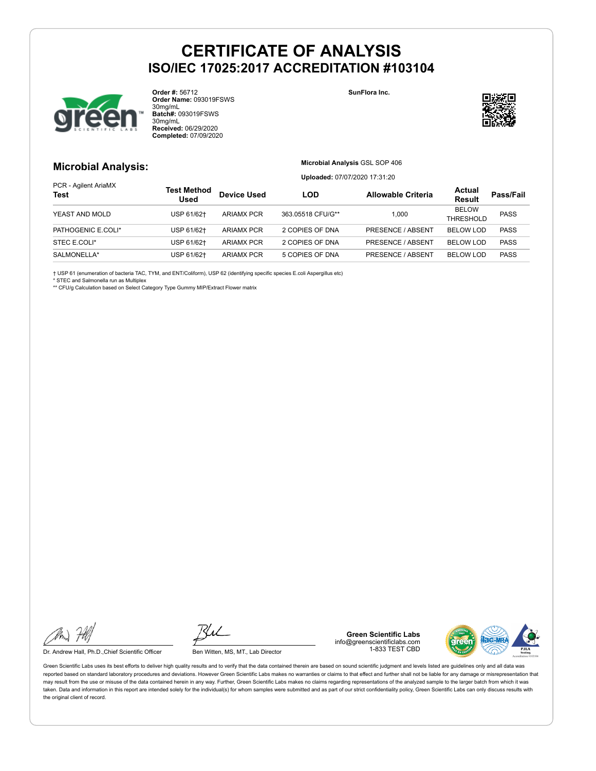

**Order #:** 56712 **Order Name:** 093019FSWS 30mg/mL **Batch#:** 093019FSWS 30mg/mL **Received:** 06/29/2020 **Completed:** 07/09/2020

**SunFlora Inc.**



#### **Microbial Analysis:**

**Microbial Analysis** GSL SOP 406

**Uploaded:** 07/07/2020 17:31:20

| PCR - Agilent AriaMX<br><b>Test</b> | Test Method<br><b>Used</b> | <b>Device Used</b> | LOD               | <b>Allowable Criteria</b> | Actual<br><b>Result</b>       | Pass/Fail   |
|-------------------------------------|----------------------------|--------------------|-------------------|---------------------------|-------------------------------|-------------|
| YEAST AND MOLD                      | USP 61/62+                 | <b>ARIAMX PCR</b>  | 363.05518 CFU/G** | 1.000                     | <b>BELOW</b>                  | <b>PASS</b> |
| PATHOGENIC E.COLI*                  | USP 61/62+                 | <b>ARIAMX PCR</b>  | 2 COPIES OF DNA   | PRESENCE / ABSENT         | THRESHOLD<br><b>BELOW LOD</b> | <b>PASS</b> |
| STEC E.COLI*                        | USP 61/62+                 | <b>ARIAMX PCR</b>  | 2 COPIES OF DNA   | <b>PRESENCE / ABSENT</b>  | <b>BELOW LOD</b>              | <b>PASS</b> |
| SALMONELLA*                         | USP 61/62+                 | <b>ARIAMX PCR</b>  | 5 COPIES OF DNA   | PRESENCE / ABSENT         | <b>BELOW LOD</b>              | <b>PASS</b> |

† USP 61 (enumeration of bacteria TAC, TYM, and ENT/Coliform), USP 62 (identifying specific species E.coli Aspergillus etc)

\* STEC and Salmonella run as Multiplex

\*\* CFU/g Calculation based on Select Category Type Gummy MIP/Extract Flower matrix

Dr. Andrew Hall, Ph.D., Chief Scientific Officer Ben Witten, MS, MT., Lab Director

**Green Scientific Labs** info@greenscientificlabs.com 1-833 TEST CBD